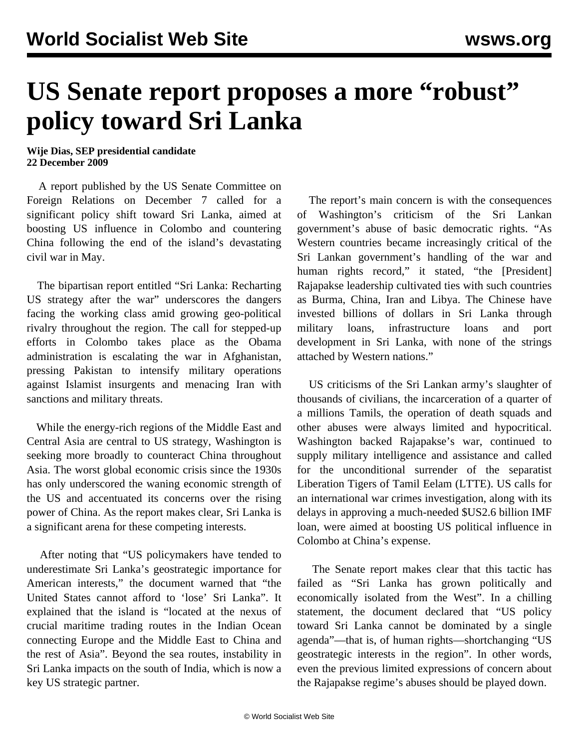## **US Senate report proposes a more "robust" policy toward Sri Lanka**

## **Wije Dias, SEP presidential candidate 22 December 2009**

 A report published by the US Senate Committee on Foreign Relations on December 7 called for a significant policy shift toward Sri Lanka, aimed at boosting US influence in Colombo and countering China following the end of the island's devastating civil war in May.

 The bipartisan report entitled "Sri Lanka: Recharting US strategy after the war" underscores the dangers facing the working class amid growing geo-political rivalry throughout the region. The call for stepped-up efforts in Colombo takes place as the Obama administration is escalating the war in Afghanistan, pressing Pakistan to intensify military operations against Islamist insurgents and menacing Iran with sanctions and military threats.

 While the energy-rich regions of the Middle East and Central Asia are central to US strategy, Washington is seeking more broadly to counteract China throughout Asia. The worst global economic crisis since the 1930s has only underscored the waning economic strength of the US and accentuated its concerns over the rising power of China. As the report makes clear, Sri Lanka is a significant arena for these competing interests.

 After noting that "US policymakers have tended to underestimate Sri Lanka's geostrategic importance for American interests," the document warned that "the United States cannot afford to 'lose' Sri Lanka". It explained that the island is "located at the nexus of crucial maritime trading routes in the Indian Ocean connecting Europe and the Middle East to China and the rest of Asia". Beyond the sea routes, instability in Sri Lanka impacts on the south of India, which is now a key US strategic partner.

 The report's main concern is with the consequences of Washington's criticism of the Sri Lankan government's abuse of basic democratic rights. "As Western countries became increasingly critical of the Sri Lankan government's handling of the war and human rights record," it stated, "the [President] Rajapakse leadership cultivated ties with such countries as Burma, China, Iran and Libya. The Chinese have invested billions of dollars in Sri Lanka through military loans, infrastructure loans and port development in Sri Lanka, with none of the strings attached by Western nations."

 US criticisms of the Sri Lankan army's slaughter of thousands of civilians, the incarceration of a quarter of a millions Tamils, the operation of death squads and other abuses were always limited and hypocritical. Washington backed Rajapakse's war, continued to supply military intelligence and assistance and called for the unconditional surrender of the separatist Liberation Tigers of Tamil Eelam (LTTE). US calls for an international war crimes investigation, along with its delays in approving a much-needed \$US2.6 billion IMF loan, were aimed at boosting US political influence in Colombo at China's expense.

 The Senate report makes clear that this tactic has failed as "Sri Lanka has grown politically and economically isolated from the West". In a chilling statement, the document declared that "US policy toward Sri Lanka cannot be dominated by a single agenda"—that is, of human rights—shortchanging "US geostrategic interests in the region". In other words, even the previous limited expressions of concern about the Rajapakse regime's abuses should be played down.